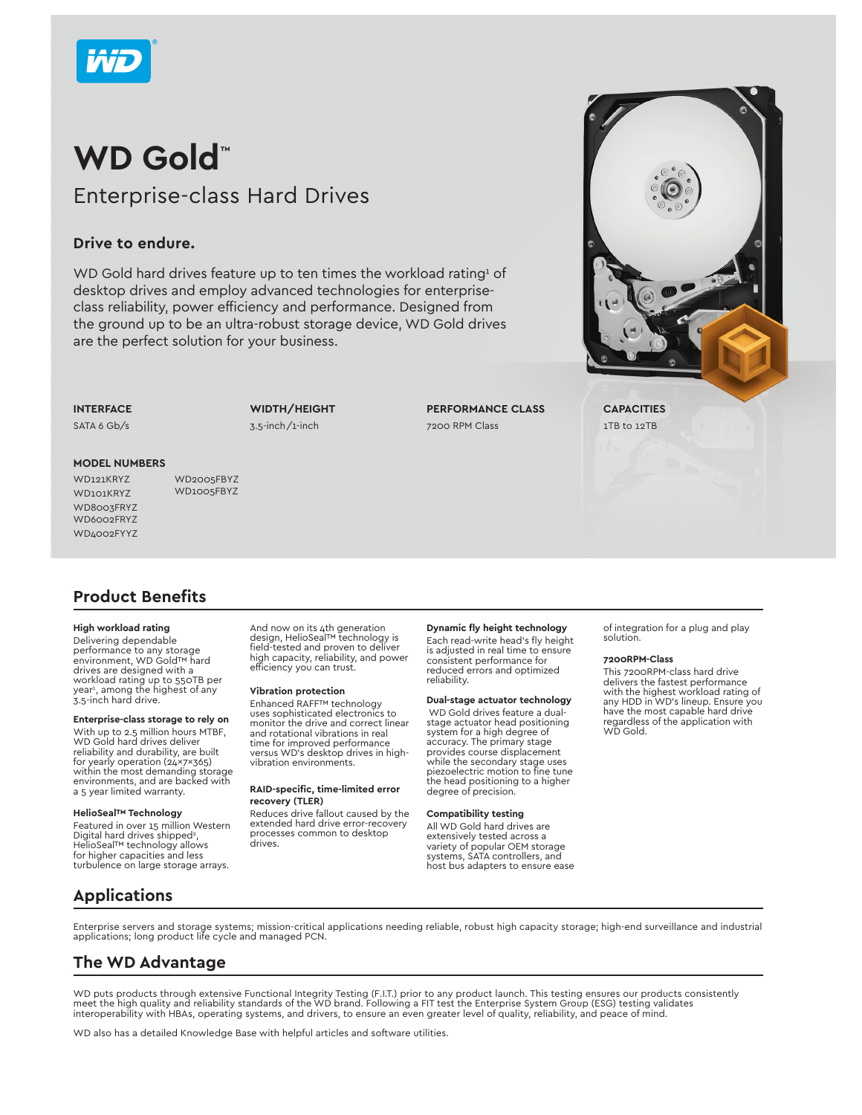

## **WD Gold™** Enterprise-class Hard Drives

### **Drive to endure.**

WD Gold hard drives feature up to ten times the workload rating  $\delta$  of desktop drives and employ advanced technologies for enterpriseclass reliability, power efficiency and performance. Designed from the ground up to be an ultra-robust storage device, WD Gold drives are the perfect solution for your business.

**INTERFACE**

SATA 6 Gb/s

**WIDTH/HEIGHT** 3.5-inch/1-inch

**PERFORMANCE CLASS** 7200 RPM Class

## **MODEL NUMBERS**

WD8003FRYZ WD6002FRYZ WD4002FYY7

WD121KRYZ WD2005FBYZ WD<sub>101</sub>KRYZ WD1005FBYZ

## **Product Benefits**

#### **High workload rating**

Delivering dependable performance to any storage environment, WD Gold™ hard drives are designed with a workload rating up to 550TB per year<sup>1</sup>, among the highest of any<br>3.5-inch hard drive.

#### **Enterprise-class storage to rely on**

With up to 2.5 million hours MTBF, WD Gold hard drives deliver reliability and durability, are built for yearly operation (24x7x365) within the most demanding storage environments, and are backed with a 5 year limited warranty.

#### **HelioSeal™ Technology**

Featured in over 15 million Western Digital hard drives shipped<sup>2</sup>, HelioSeal™ technology allows for higher capacities and less turbulence on large storage arrays.

And now on its 4th generation<br>design, HelioSeal™ technology is field-tested and proven to deliver high capacity, reliability, and power efficiency you can trust.

#### **Vibration protection**

Enhanced RAFF™ technology uses sophisticated electronics to monitor the drive and correct linear and rotational vibrations in real time for improved performance versus WD's desktop drives in highvibration environments.

#### **RAID-specific, time-limited error recovery (TLER)**

Reduces drive fallout caused by the extended hard drive error-recovery processes common to desktop drives.

#### **Dynamic fly height technology**

Each read-write head's fly height is adjusted in real time to ensure consistent performance for reduced errors and optimized reliability.

#### **Dual-stage actuator technology**

 WD Gold drives feature a dualstage actuator head positioning system for a high degree of accuracy. The primary stage provides course displacement while the secondary stage uses piezoelectric motion to fine tune the head positioning to a higher degree of precision.

#### **Compatibility testing**

All WD Gold hard drives are extensively tested across a variety of popular OEM storage systems, SATA controllers, and host bus adapters to ensure ease of integration for a plug and play solution.

#### **7200RPM-Class**

This 7200RPM-class hard drive delivers the fastest performance with the highest workload rating of any HDD in WD's lineup. Ensure you have the most capable hard drive regardless of the application with WD Gold.

**Applications**

Enterprise servers and storage systems; mission-critical applications needing reliable, robust high capacity storage; high-end surveillance and industrial applications; long product life cycle and managed PCN.

## **The WD Advantage**

WD puts products through extensive Functional Integrity Testing (F.I.T.) prior to any product launch. This testing ensures our products consistently<br>meet the high quality and reliability standards of the WD brand. Followin interoperability with HBAs, operating systems, and drivers, to ensure an even greater level of quality, reliability, and peace of mind.

WD also has a detailed Knowledge Base with helpful articles and software utilities.



**CAPACITIES** 1TB to 12TB